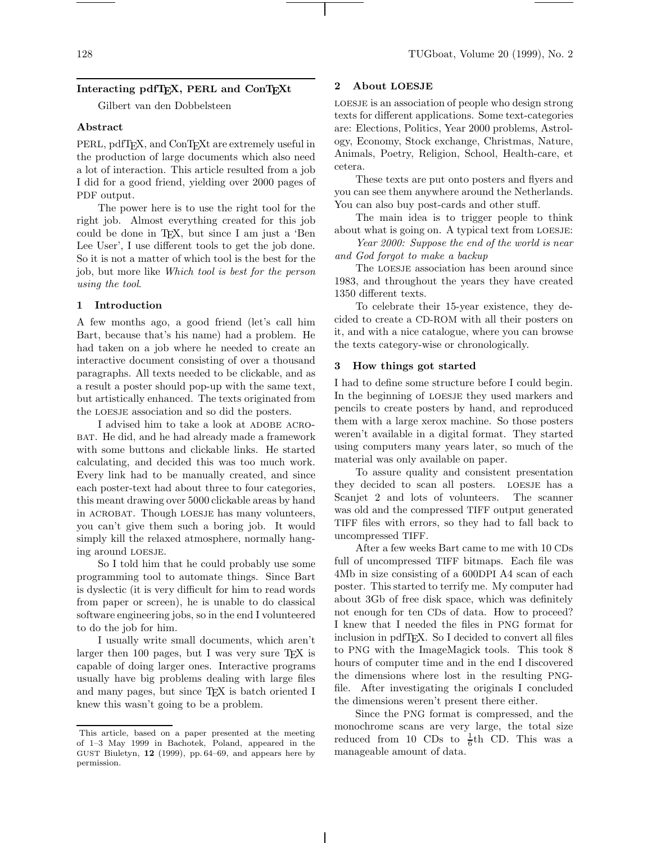# Interacting pdfT<sub>E</sub>X, PERL and ConT<sub>E</sub>Xt

Gilbert van den Dobbelsteen

#### Abstract

PERL, pdfT<sub>E</sub>X, and ConT<sub>E</sub>X<sub>t</sub> are extremely useful in the production of large documents which also need a lot of interaction. This article resulted from a job I did for a good friend, yielding over 2000 pages of PDF output.

The power here is to use the right tool for the right job. Almost everything created for this job could be done in TEX, but since I am just a 'Ben Lee User', I use different tools to get the job done. So it is not a matter of which tool is the best for the job, but more like Which tool is best for the person using the tool.

#### 1 Introduction

A few months ago, a good friend (let's call him Bart, because that's his name) had a problem. He had taken on a job where he needed to create an interactive document consisting of over a thousand paragraphs. All texts needed to be clickable, and as a result a poster should pop-up with the same text, but artistically enhanced. The texts originated from the loesje association and so did the posters.

I advised him to take a look at ADOBE ACRObat. He did, and he had already made a framework with some buttons and clickable links. He started calculating, and decided this was too much work. Every link had to be manually created, and since each poster-text had about three to four categories, this meant drawing over 5000 clickable areas by hand in acrobat. Though loesje has many volunteers, you can't give them such a boring job. It would simply kill the relaxed atmosphere, normally hanging around loesje.

So I told him that he could probably use some programming tool to automate things. Since Bart is dyslectic (it is very difficult for him to read words from paper or screen), he is unable to do classical software engineering jobs, so in the end I volunteered to do the job for him.

I usually write small documents, which aren't larger then 100 pages, but I was very sure  $T_F X$  is capable of doing larger ones. Interactive programs usually have big problems dealing with large files and many pages, but since TEX is batch oriented I knew this wasn't going to be a problem.

#### 2 About LOESJE

loesje is an association of people who design strong texts for different applications. Some text-categories are: Elections, Politics, Year 2000 problems, Astrology, Economy, Stock exchange, Christmas, Nature, Animals, Poetry, Religion, School, Health-care, et cetera.

These texts are put onto posters and flyers and you can see them anywhere around the Netherlands. You can also buy post-cards and other stuff.

The main idea is to trigger people to think about what is going on. A typical text from LOESJE:

Year 2000: Suppose the end of the world is near and God forgot to make a backup

The LOESJE association has been around since 1983, and throughout the years they have created 1350 different texts.

To celebrate their 15-year existence, they decided to create a CD-ROM with all their posters on it, and with a nice catalogue, where you can browse the texts category-wise or chronologically.

#### 3 How things got started

I had to define some structure before I could begin. In the beginning of loesje they used markers and pencils to create posters by hand, and reproduced them with a large xerox machine. So those posters weren't available in a digital format. They started using computers many years later, so much of the material was only available on paper.

To assure quality and consistent presentation they decided to scan all posters. LOESJE has a Scanjet 2 and lots of volunteers. The scanner was old and the compressed TIFF output generated TIFF files with errors, so they had to fall back to uncompressed TIFF.

After a few weeks Bart came to me with 10 CDs full of uncompressed TIFF bitmaps. Each file was 4Mb in size consisting of a 600DPI A4 scan of each poster. This started to terrify me. My computer had about 3Gb of free disk space, which was definitely not enough for ten CDs of data. How to proceed? I knew that I needed the files in PNG format for inclusion in pdfTEX. So I decided to convert all files to PNG with the ImageMagick tools. This took 8 hours of computer time and in the end I discovered the dimensions where lost in the resulting PNGfile. After investigating the originals I concluded the dimensions weren't present there either.

Since the PNG format is compressed, and the monochrome scans are very large, the total size reduced from 10 CDs to  $\frac{1}{6}$ th CD. This was a manageable amount of data.

This article, based on a paper presented at the meeting of 1–3 May 1999 in Bachotek, Poland, appeared in the GUST Biuletyn, 12 (1999), pp. 64–69, and appears here by permission.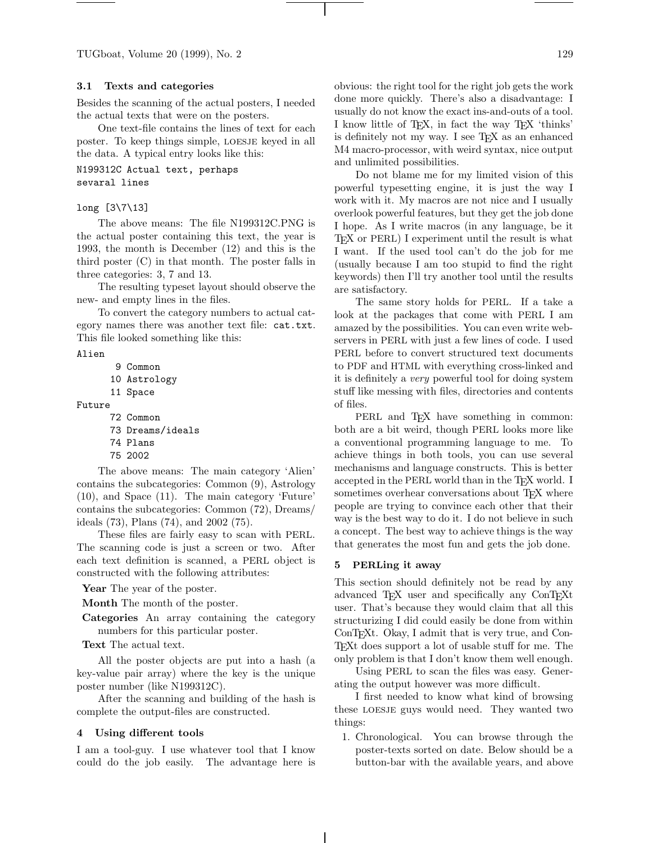TUGboat, Volume 20 (1999), No. 2 129

# 3.1 Texts and categories

Besides the scanning of the actual posters, I needed the actual texts that were on the posters.

One text-file contains the lines of text for each poster. To keep things simple, loesje keyed in all the data. A typical entry looks like this:

N199312C Actual text, perhaps sevaral lines

#### long [3\7\13]

The above means: The file N199312C.PNG is the actual poster containing this text, the year is 1993, the month is December (12) and this is the third poster (C) in that month. The poster falls in three categories: 3, 7 and 13.

The resulting typeset layout should observe the new- and empty lines in the files.

To convert the category numbers to actual category names there was another text file: cat.txt. This file looked something like this:

Alien

```
9 Common
      10 Astrology
      11 Space
Future
      72 Common
      73 Dreams/ideals
      74 Plans
```

```
75 2002
```
The above means: The main category 'Alien' contains the subcategories: Common (9), Astrology (10), and Space (11). The main category 'Future' contains the subcategories: Common (72), Dreams/ ideals (73), Plans (74), and 2002 (75).

These files are fairly easy to scan with PERL. The scanning code is just a screen or two. After each text definition is scanned, a PERL object is constructed with the following attributes:

Year The year of the poster.

Month The month of the poster.

Categories An array containing the category numbers for this particular poster.

Text The actual text.

All the poster objects are put into a hash (a key-value pair array) where the key is the unique poster number (like N199312C).

After the scanning and building of the hash is complete the output-files are constructed.

#### 4 Using different tools

I am a tool-guy. I use whatever tool that I know could do the job easily. The advantage here is obvious: the right tool for the right job gets the work done more quickly. There's also a disadvantage: I usually do not know the exact ins-and-outs of a tool. I know little of TEX, in fact the way TEX 'thinks' is definitely not my way. I see TEX as an enhanced M4 macro-processor, with weird syntax, nice output and unlimited possibilities.

Do not blame me for my limited vision of this powerful typesetting engine, it is just the way I work with it. My macros are not nice and I usually overlook powerful features, but they get the job done I hope. As I write macros (in any language, be it T<sub>F</sub>X or PERL) I experiment until the result is what I want. If the used tool can't do the job for me (usually because I am too stupid to find the right keywords) then I'll try another tool until the results are satisfactory.

The same story holds for PERL. If a take a look at the packages that come with PERL I am amazed by the possibilities. You can even write webservers in PERL with just a few lines of code. I used PERL before to convert structured text documents to PDF and HTML with everything cross-linked and it is definitely a very powerful tool for doing system stuff like messing with files, directories and contents of files.

PERL and T<sub>F</sub>X have something in common: both are a bit weird, though PERL looks more like a conventional programming language to me. To achieve things in both tools, you can use several mechanisms and language constructs. This is better accepted in the PERL world than in the T<sub>E</sub>X world. I sometimes overhear conversations about T<sub>E</sub>X where people are trying to convince each other that their way is the best way to do it. I do not believe in such a concept. The best way to achieve things is the way that generates the most fun and gets the job done.

#### 5 PERLing it away

This section should definitely not be read by any advanced T<sub>EX</sub> user and specifically any ConT<sub>EX<sup>t</sup></sup></sub> user. That's because they would claim that all this structurizing I did could easily be done from within ConT<sub>E</sub>Xt. Okay, I admit that is very true, and Con-TEXt does support a lot of usable stuff for me. The only problem is that I don't know them well enough.

Using PERL to scan the files was easy. Generating the output however was more difficult.

I first needed to know what kind of browsing these LOESJE guys would need. They wanted two things:

1. Chronological. You can browse through the poster-texts sorted on date. Below should be a button-bar with the available years, and above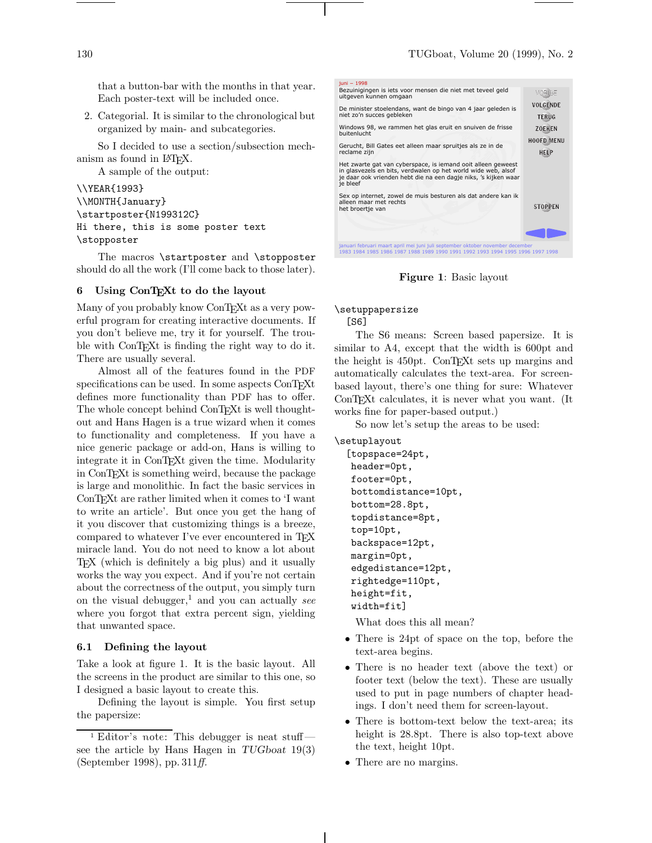that a button-bar with the months in that year. Each poster-text will be included once.

2. Categorial. It is similar to the chronological but organized by main- and subcategories.

So I decided to use a section/subsection mechanism as found in IATFX.

A sample of the output:

\\YEAR{1993} \\MONTH{January} \startposter{N199312C} Hi there, this is some poster text \stopposter

The macros \startposter and \stopposter should do all the work (I'll come back to those later).

# 6 Using ConTEXt to do the layout

Many of you probably know ConTEXt as a very powerful program for creating interactive documents. If you don't believe me, try it for yourself. The trouble with ConTEXt is finding the right way to do it. There are usually several.

Almost all of the features found in the PDF specifications can be used. In some aspects ConTEXt defines more functionality than PDF has to offer. The whole concept behind ConTEXt is well thoughtout and Hans Hagen is a true wizard when it comes to functionality and completeness. If you have a nice generic package or add-on, Hans is willing to integrate it in ConT<sub>EX</sub>t given the time. Modularity in ConTEXt is something weird, because the package is large and monolithic. In fact the basic services in ConTEXt are rather limited when it comes to 'I want to write an article'. But once you get the hang of it you discover that customizing things is a breeze, compared to whatever I've ever encountered in T<sub>EX</sub> miracle land. You do not need to know a lot about TEX (which is definitely a big plus) and it usually works the way you expect. And if you're not certain about the correctness of the output, you simply turn on the visual debugger,<sup>1</sup> and you can actually see where you forgot that extra percent sign, yielding that unwanted space.

#### 6.1 Defining the layout

Take a look at figure 1. It is the basic layout. All the screens in the product are similar to this one, so I designed a basic layout to create this.

Defining the layout is simple. You first setup the papersize:



Figure 1: Basic layout

\setuppapersize

[S6]

The S6 means: Screen based papersize. It is similar to A4, except that the width is 600pt and the height is 450pt. ConTEXt sets up margins and automatically calculates the text-area. For screenbased layout, there's one thing for sure: Whatever ConTEXt calculates, it is never what you want. (It works fine for paper-based output.)

So now let's setup the areas to be used:

\setuplayout

```
[topspace=24pt,
header=0pt,
footer=0pt,
bottomdistance=10pt,
bottom=28.8pt,
topdistance=8pt,
top=10pt,
backspace=12pt,
margin=0pt,
edgedistance=12pt,
rightedge=110pt,
height=fit,
width=fit]
```
What does this all mean?

- There is 24pt of space on the top, before the text-area begins.
- There is no header text (above the text) or footer text (below the text). These are usually used to put in page numbers of chapter headings. I don't need them for screen-layout.
- There is bottom-text below the text-area; its height is 28.8pt. There is also top-text above the text, height 10pt.
- There are no margins.

<sup>1</sup> Editor's note: This debugger is neat stuff see the article by Hans Hagen in TUGboat 19(3) (September 1998), pp. 311ff.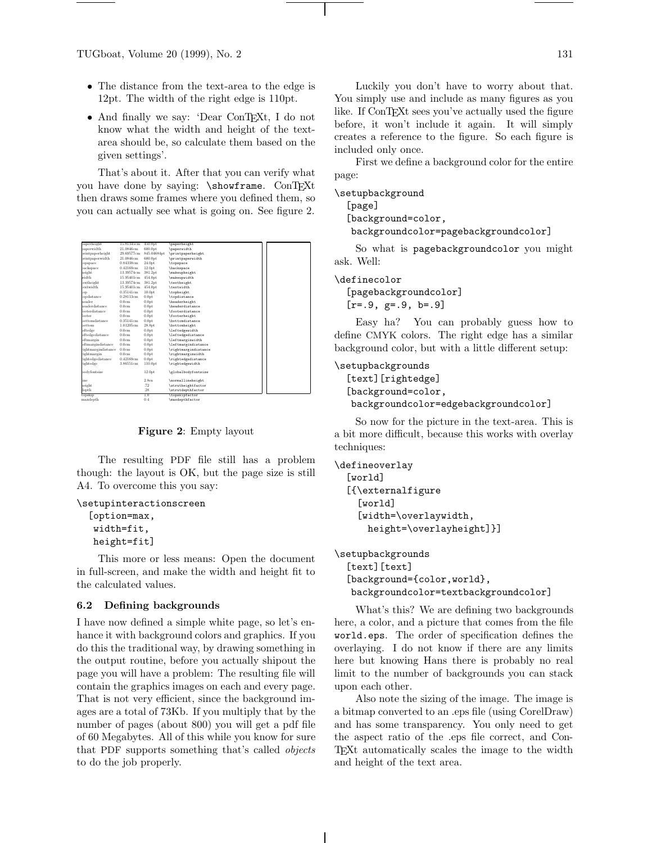TUGboat, Volume 20 (1999), No. 2 131

- The distance from the text-area to the edge is 12pt. The width of the right edge is 110pt.
- And finally we say: 'Dear ConTEXt, I do not know what the width and height of the textarea should be, so calculate them based on the given settings'.

That's about it. After that you can verify what you have done by saying: \showframe. ConTEXt then draws some frames where you defined them, so you can actually see what is going on. See figure 2.

| paperheight           | 15.81345cm | 450,0pt             | paperheight                             |  |
|-----------------------|------------|---------------------|-----------------------------------------|--|
| paperwidth            | 21.0846cm  | 600.0pt             | \paperwidth                             |  |
| printpaperheight      | 29.69577cm | 845.04684pt         | \printpaperheight                       |  |
| printpaperwidth       | 21.0846cm  | 600.0pt             | \printpaperwidth                        |  |
| topspace              | 0.84338cm  | 24.0pt              | \topspace                               |  |
| backspace             | 0.42169cm  | 12.0 <sub>pt</sub>  | backspace                               |  |
| height                | 13.39574cm | 381.2pt             | \makeupheight                           |  |
| width                 | 15.95401cm | 454.0pt             | \makeupwidth                            |  |
| textheight            | 13.39574cm | 381.2pt             | \textheight                             |  |
| textwidth             | 15.95401cm | 454.0pt             | \textwidth                              |  |
| qo:                   | 0.35141cm  | 10.0 <sub>pt</sub>  | \topheight                              |  |
| topdistance           | 0.28113cm  | 0.0 <sub>pt</sub>   | \topdistance                            |  |
| header                | 0.0cm      | 0.0 <sub>pt</sub>   | \headerheight                           |  |
| headerdistance        | 0.0cm      | 0.0 <sub>pt</sub>   | \headerdistance                         |  |
| <b>footerdistance</b> | 0.0cm      | 0.0 <sub>pt</sub>   | \footerdistance                         |  |
| footer                | 0.0cm      | 0.0 <sub>pt</sub>   | \footerheight                           |  |
| hottomdistance        | 0.35141cm  | 0.0 <sub>pt</sub>   | <i><u><b>\bottomdistance</b></u></i>    |  |
| bottom                | 1.01205cm  | 28.8pt              | <i><b>\bottomheight</b></i>             |  |
| eftedge               | 0.0cm      | 0.0 <sub>pt</sub>   | \leftedgewidth                          |  |
| eftedgedistance       | 0.0cm      | 0.0 <sub>pt</sub>   | \leftedgedistance                       |  |
| eftmargin             | 0.0cm      | 0.0 <sub>pt</sub>   | \leftmarginwidth                        |  |
| eftmargindistance     | 0.0cm      | 0.0 <sub>pt</sub>   | <i><u><b>leftmargindistance</b></u></i> |  |
| rightmargindistance   | 0.0cm      | 0.0 <sub>pt</sub>   | \rightmargindistance                    |  |
| rightmargin           | 0.0cm      | 0.0 <sub>pt</sub>   | \rightmarginwidth                       |  |
| rightedgedistance     | 0.42169cm  | 0.0 <sub>pt</sub>   | \rightedgedistance                      |  |
| rightedge             | 3.86551cm  | 110.0 <sub>pt</sub> | \rightedgewidth                         |  |
| bodyfontsize          |            | 12.0 <sub>pt</sub>  | \globalbodyfontsize                     |  |
| line                  |            | 2.8 <sub>ex</sub>   | \normallineheight                       |  |
| height                |            | .72                 | \strutheightfactor                      |  |
| depth                 |            | .28                 | \strutdepthfactor                       |  |
| topskip               |            | 1.0                 | \topskipfactor                          |  |
| maxdepth              |            | 0.4                 | \maxdepthfactor                         |  |

Figure 2: Empty layout

The resulting PDF file still has a problem though: the layout is OK, but the page size is still A4. To overcome this you say:

```
\setupinteractionscreen
  [option=max,
   width=fit,
```
height=fit]

This more or less means: Open the document in full-screen, and make the width and height fit to the calculated values.

#### 6.2 Defining backgrounds

I have now defined a simple white page, so let's enhance it with background colors and graphics. If you do this the traditional way, by drawing something in the output routine, before you actually shipout the page you will have a problem: The resulting file will contain the graphics images on each and every page. That is not very efficient, since the background images are a total of 73Kb. If you multiply that by the number of pages (about 800) you will get a pdf file of 60 Megabytes. All of this while you know for sure that PDF supports something that's called objects to do the job properly.

Luckily you don't have to worry about that. You simply use and include as many figures as you like. If ConTEXt sees you've actually used the figure before, it won't include it again. It will simply creates a reference to the figure. So each figure is included only once.

First we define a background color for the entire page:

\setupbackground

```
[page]
[background=color,
```
backgroundcolor=pagebackgroundcolor]

So what is pagebackgroundcolor you might ask. Well:

\definecolor

[pagebackgroundcolor]  $[r=.9, g=.9, b=.9]$ 

Easy ha? You can probably guess how to define CMYK colors. The right edge has a similar background color, but with a little different setup:

# \setupbackgrounds

[text][rightedge] [background=color, backgroundcolor=edgebackgroundcolor]

So now for the picture in the text-area. This is a bit more difficult, because this works with overlay techniques:

```
\defineoverlay
  [world]
  [{\externalfigure
    [world]
    [width=\overlaywidth,
      height=\overlayheight]}]
```
\setupbackgrounds [text][text] [background={color,world}, backgroundcolor=textbackgroundcolor]

What's this? We are defining two backgrounds here, a color, and a picture that comes from the file world.eps. The order of specification defines the overlaying. I do not know if there are any limits here but knowing Hans there is probably no real limit to the number of backgrounds you can stack upon each other.

Also note the sizing of the image. The image is a bitmap converted to an .eps file (using CorelDraw) and has some transparency. You only need to get the aspect ratio of the .eps file correct, and Con-TEXt automatically scales the image to the width and height of the text area.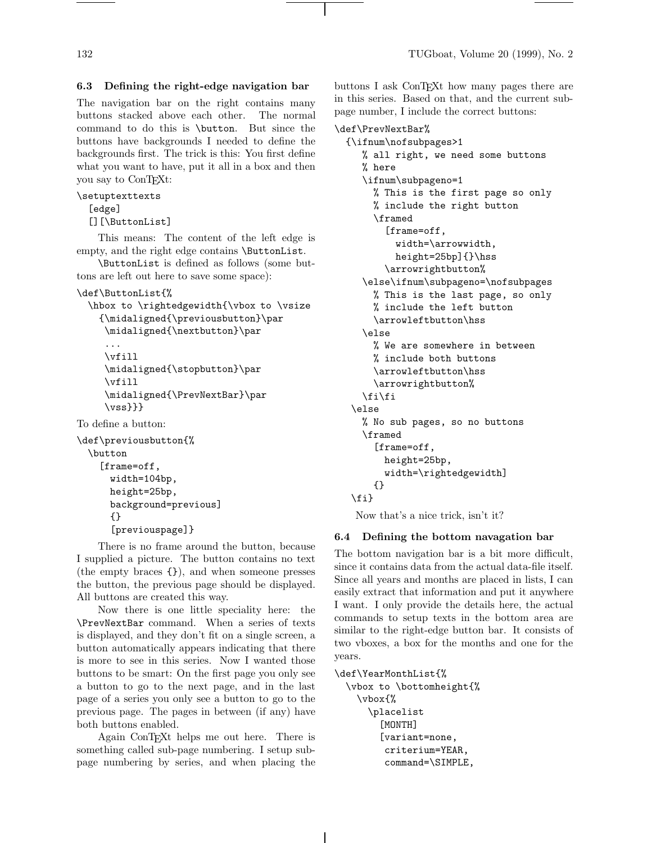# 6.3 Defining the right-edge navigation bar

The navigation bar on the right contains many buttons stacked above each other. The normal command to do this is \button. But since the buttons have backgrounds I needed to define the backgrounds first. The trick is this: You first define what you want to have, put it all in a box and then you say to ConTEXt:

```
\setuptexttexts
```
[edge]

```
[][\ButtonList]
```
This means: The content of the left edge is empty, and the right edge contains **\ButtonList**.

\ButtonList is defined as follows (some buttons are left out here to save some space):

```
\def\ButtonList{%
```

```
\hbox to \rightedgewidth{\vbox to \vsize
  {\midaligned{\previousbutton}\par
```

```
\midaligned{\nextbutton}\par
```

```
...
\vfill
\midaligned{\stopbutton}\par
\vfill
\midaligned{\PrevNextBar}\par
\{vss\}}}
```
To define a button:

```
\def\previousbutton{%
 \button
    [frame=off,
      width=104bp,
      height=25bp,
      background=previous]
      {}
      [previouspage]}
```
There is no frame around the button, because I supplied a picture. The button contains no text (the empty braces {}), and when someone presses the button, the previous page should be displayed. All buttons are created this way.

Now there is one little speciality here: the \PrevNextBar command. When a series of texts is displayed, and they don't fit on a single screen, a button automatically appears indicating that there is more to see in this series. Now I wanted those buttons to be smart: On the first page you only see a button to go to the next page, and in the last page of a series you only see a button to go to the previous page. The pages in between (if any) have both buttons enabled.

Again ConTEXt helps me out here. There is something called sub-page numbering. I setup subpage numbering by series, and when placing the buttons I ask ConTEXt how many pages there are in this series. Based on that, and the current subpage number, I include the correct buttons:

# \def\PrevNextBar%

```
{\ifnum\nofsubpages>1
   % all right, we need some buttons
   % here
   \ifnum\subpageno=1
     % This is the first page so only
     % include the right button
     \framed
       [frame=off,
         width=\arrowwidth,
         height=25bp]{}\hss
       \arrowrightbutton%
   \else\ifnum\subpageno=\nofsubpages
     % This is the last page, so only
     % include the left button
     \arrowleftbutton\hss
   \else
     % We are somewhere in between
     % include both buttons
     \arrowleftbutton\hss
     \arrowrightbutton%
   \fi\fi
 \else
   % No sub pages, so no buttons
   \framed
     [frame=off,
       height=25bp,
       width=\rightedgewidth]
     {}
 \fi}
 Now that's a nice trick, isn't it?
```
# 6.4 Defining the bottom navagation bar

The bottom navigation bar is a bit more difficult, since it contains data from the actual data-file itself. Since all years and months are placed in lists, I can easily extract that information and put it anywhere I want. I only provide the details here, the actual commands to setup texts in the bottom area are similar to the right-edge button bar. It consists of two vboxes, a box for the months and one for the years.

```
\def\YearMonthList{%
```

```
\vbox to \bottomheight{%
  \vbox{%
    \placelist
      [MONTH]
      [variant=none,
       criterium=YEAR,
       command=\SIMPLE,
```